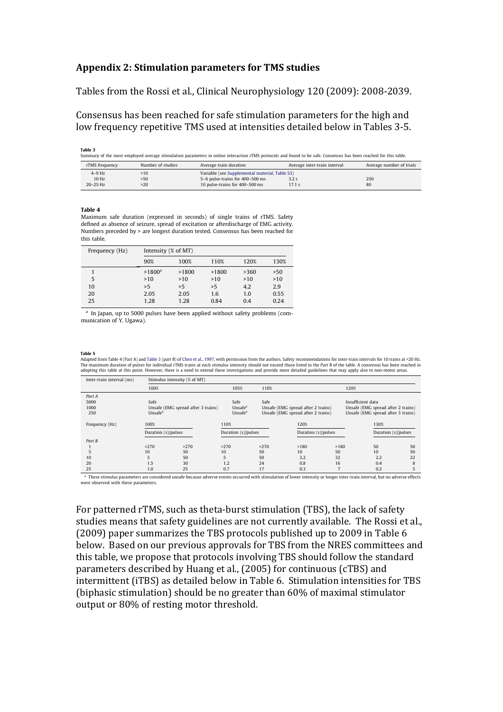## Appendix 2: Stimulation parameters for TMS studies  $\mathbf k$ ppendix 2: Stimulation parameters for TMS studies ppendix 2: Stimulation parameters for TMS studies  $\mathbf{e}_{\mathbf{s}}$ no clinical benefit is expected, but the study is anticipated to might depend on the investigation. The investigation of normal control of normal control of normal control of should be considered and approved for each study by the referring

Tables from the Rossi et al., Clinical Neurophysiology 120 (2009): 2008-2039. ables from the Rossi et al., Clinical Neurophysiology 120 (2009): 2008-2039. physiology 120 (2009): 2006-2039.  $\frac{1}{2}$ .7. According to psychiatric changes on the analogue on the anatomical connectivity in the anatomical connectivity in the anatomical connectivity in the anatomical connectivity in the anatomical connectivity in t bles from the Rossi et al., Clinical Neurophysiology 120 (2009): 2008-2039. ples if om the Rossi et al., Chintai Neurophysiology 12t

Consensus has been reached for safe stimulation parameters for the high and **localized the soft control intervals carrying in the component of the digital set**  $\frac{1}{2}$  and  $\frac{1}{2}$  and  $\frac{1}{2}$  and  $\frac{1}{2}$  are  $\frac{1}{2}$ . ionsensus has been reached for safe stimulation parameters for the high and ow frequency repetitive TMS used at intensities detailed below in Tables 3-5. et al., 2008) and the left preferred the left preferred preferred preferred the left preferred preferred in the  $\alpha$  at a cooling deach or cooling deach or cooling deach  $\alpha$ nsensus has been reached for safe stimulation parameters for the high and w frequency repetitive TMS used at intensities detailed below in Tables 3-5. subjects when clinical benefit is questionable. nsities detailed below in Tables 3-5.

Table 3  $\Gamma$ ble  $3$  $\mathbf{a}$  are expected to  $\mathbf{a}$  are expected to  $\mathbf{a}$  on brain data on brain data on brain data on brain data on brain data on brain data on brain data on brain data on brain data on brain data on brain data on brain

| .<br>Summary of the most employed average stimulation parameters in online interaction rTMS protocols and found to be safe. Consensus has been reached for this table. |                   |                                                |                              |                          |  |  |  |
|------------------------------------------------------------------------------------------------------------------------------------------------------------------------|-------------------|------------------------------------------------|------------------------------|--------------------------|--|--|--|
| rTMS frequency                                                                                                                                                         | Number of studies | Average train duration                         | Average inter-train interval | Average number of trials |  |  |  |
| $4-9$ Hz                                                                                                                                                               | >10               | Variable (see Supplemental material, Table S3) |                              |                          |  |  |  |
| 10 Hz                                                                                                                                                                  | >50               | 5-6 pulse-trains for 400-500 ms                | 3.2s                         | 250                      |  |  |  |
| $20-25$ Hz                                                                                                                                                             | >20               | 10 pulse-trains for 400–500 ms                 | 17.1 s                       |                          |  |  |  |

thickness and size of the brain (Post and Keck, 2001). This is partic-

this limit (i.e., from 140% of  $M_{\rm H}$  ) showledge to  $220$  to  $220$  showledge to  $p$ 

## **Table 4** mind. Specifically tailored regimens may pose significant risks in the significant risks in the significant risks in the significant risks in the significant risks in the significant risks in the significant risk

Maximum safe duration (expressed in seconds) of single trains of rTMS. Safety defined as absence of seizure, spread of excitation or afterdischarge of EMG activity. Numbers preceded by > are longest duration tested. Consensus has been reached for for this table.

agitation, suicidal ideation and insomnia (Zwanzger et al., 2002;

In all classes, every appropriate and feasible safety measure

| Frequency (Hz) |                 | Intensity (% of MT) |       |      |      |  |  |
|----------------|-----------------|---------------------|-------|------|------|--|--|
|                | 90%             | 100%                | 110%  | 120% | 130% |  |  |
|                | $>1800^{\rm a}$ | >1800               | >1800 | >360 | >50  |  |  |
| 5              | >10             | >10                 | >10   | >10  | >10  |  |  |
| 10             | >5              | >5                  | >5    | 4.2  | 2.9  |  |  |
| 20             | 2.05            | 2.05                | 1.6   | 1.0  | 0.55 |  |  |
| 25             | 1.28            | 1.28                | 0.84  | 0.4  | 0.24 |  |  |

<sup>a</sup> In Japan, up to 5000 pulses have been applied without safety problems (communication of Y. Ugawa).

patients for whom there is no potential clinical benefit should pro-

## Table 5

Adapted from Table 4 (Part A) and Table 3 (part B) of Chen et al., 1997, with permission from the authors. Safety recommendations for inter-train intervals for 10 trains at <20 Hz. The maximum duration of pulses for individual rTMS trains at each stimulus intensity should not exceed those listed in the Part B of the table. A consensus has been reached in adopting this table at this point. However, there is a need to extend these investigations and provide more detailed guidelines that may apply also to non-motor areas.

| Inter-train interval (ms) |                | Stimulus intensity (% of MT)       |      |                     |                     |                                    |                     |      |                                    |     |    |  |  |
|---------------------------|----------------|------------------------------------|------|---------------------|---------------------|------------------------------------|---------------------|------|------------------------------------|-----|----|--|--|
|                           |                | 100%                               |      |                     | 105%                | 110%                               |                     |      | 120%                               |     |    |  |  |
|                           | Part A         |                                    |      |                     |                     |                                    |                     |      |                                    |     |    |  |  |
|                           | 5000           | Safe                               |      |                     | Safe                | Safe                               |                     |      | Insufficient data                  |     |    |  |  |
|                           | 1000           | Unsafe (EMG spread after 3 trains) |      |                     | Unsafe <sup>a</sup> | Unsafe (EMG spread after 2 trains) |                     |      | Unsafe (EMG spread after 2 trains) |     |    |  |  |
|                           | 250            | Unsafe <sup>a</sup>                |      |                     | Unsafe <sup>a</sup> | Unsafe (EMG spread after 2 trains) |                     |      | Unsafe (EMG spread after 3 trains) |     |    |  |  |
|                           |                |                                    |      |                     |                     |                                    |                     |      |                                    |     |    |  |  |
|                           | Frequency (Hz) | 100%                               |      | 110%<br>120%        |                     |                                    |                     |      | 130%                               |     |    |  |  |
|                           |                | Duration (s)/pulses                |      | Duration (s)/pulses |                     |                                    | Duration (s)/pulses |      | Duration (s)/pulses                |     |    |  |  |
|                           | Part B         |                                    |      |                     |                     |                                    |                     |      |                                    |     |    |  |  |
|                           |                | >270                               | >270 | >270                |                     | >270                               | >180                | >180 |                                    | 50  | 50 |  |  |
|                           | 5              | 10                                 | 50   | 10                  |                     | 50                                 | 10                  | 50   |                                    | 10  | 50 |  |  |
|                           | 10             | 5                                  | 50   | 5                   |                     | 50                                 | 3.2                 | 32   |                                    | 2.2 | 22 |  |  |
|                           | 20             | 1.5                                | 30   | 1.2                 |                     | 24                                 | 0.8                 | 16   |                                    | 0.4 | 8  |  |  |
|                           | 25             | 1.0                                | 25   | 0.7                 |                     | 17                                 | 0.3                 |      |                                    | 0.2 |    |  |  |
|                           |                |                                    |      |                     |                     |                                    |                     |      |                                    |     |    |  |  |

<sup>a</sup> These stimulus parameters are considered unsafe because adverse events occurred with stimulation of lower intensity or longer inter-train interval, but no adverse effects were observed with these parameters.

For patterned rTMS, such as theta-burst stimulation (TBS), the lack of safety studies means that safety guidelines are not currently available. The Rossi et al., (2009) paper summarizes the TBS protocols published up to 2009 in Table  $6$ below. Based on our previous approvals for TBS from the NRES committees and this table, we propose that protocols involving TBS should follow the standard parameters described by Huang et al., (2005) for continuous (cTBS) and intermittent (iTBS) as detailed below in Table 6. Stimulation intensities for TBS (biphasic stimulation) should be no greater than 60% of maximal stimulator output or 80% of resting motor threshold.